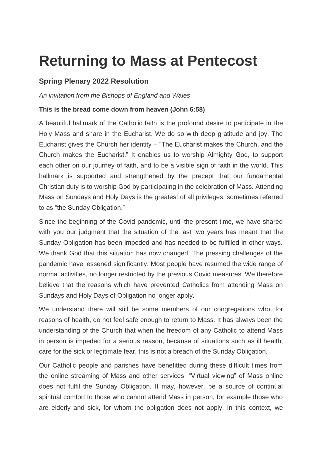## **Returning to Mass at Pentecost**

## **Spring Plenary 2022 Resolution**

*An invitation from the Bishops of England and Wales*

## **This is the bread come down from heaven (John 6:58)**

A beautiful hallmark of the Catholic faith is the profound desire to participate in the Holy Mass and share in the Eucharist. We do so with deep gratitude and joy. The Eucharist gives the Church her identity – "The Eucharist makes the Church, and the Church makes the Eucharist." It enables us to worship Almighty God, to support each other on our journey of faith, and to be a visible sign of faith in the world. This hallmark is supported and strengthened by the precept that our fundamental Christian duty is to worship God by participating in the celebration of Mass. Attending Mass on Sundays and Holy Days is the greatest of all privileges, sometimes referred to as "the Sunday Obligation."

Since the beginning of the Covid pandemic, until the present time, we have shared with you our judgment that the situation of the last two years has meant that the Sunday Obligation has been impeded and has needed to be fulfilled in other ways. We thank God that this situation has now changed. The pressing challenges of the pandemic have lessened significantly. Most people have resumed the wide range of normal activities, no longer restricted by the previous Covid measures. We therefore believe that the reasons which have prevented Catholics from attending Mass on Sundays and Holy Days of Obligation no longer apply.

We understand there will still be some members of our congregations who, for reasons of health, do not feel safe enough to return to Mass. It has always been the understanding of the Church that when the freedom of any Catholic to attend Mass in person is impeded for a serious reason, because of situations such as ill health, care for the sick or legitimate fear, this is not a breach of the Sunday Obligation.

Our Catholic people and parishes have benefitted during these difficult times from the online streaming of Mass and other services. "Virtual viewing" of Mass online does not fulfil the Sunday Obligation. It may, however, be a source of continual spiritual comfort to those who cannot attend Mass in person, for example those who are elderly and sick, for whom the obligation does not apply. In this context, we